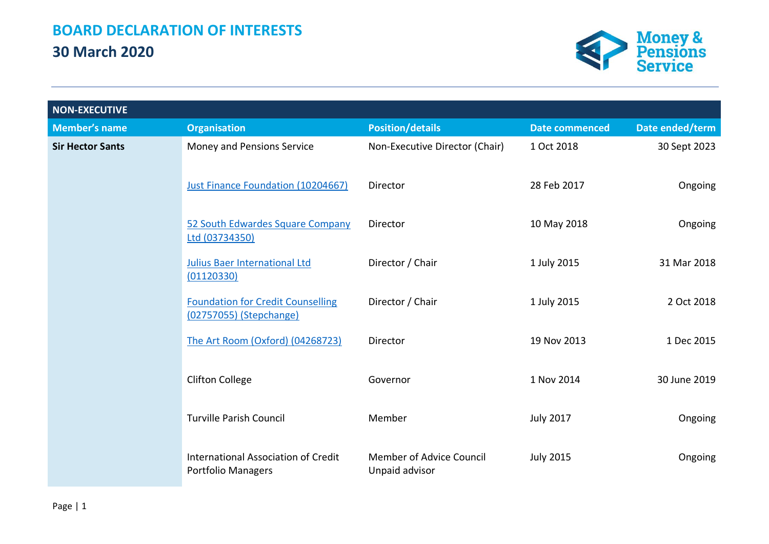

| <b>NON-EXECUTIVE</b>    |                                                                     |                                            |                       |                 |
|-------------------------|---------------------------------------------------------------------|--------------------------------------------|-----------------------|-----------------|
| <b>Member's name</b>    | <b>Organisation</b>                                                 | <b>Position/details</b>                    | <b>Date commenced</b> | Date ended/term |
| <b>Sir Hector Sants</b> | Money and Pensions Service                                          | Non-Executive Director (Chair)             | 1 Oct 2018            | 30 Sept 2023    |
|                         | Just Finance Foundation (10204667)                                  | Director                                   | 28 Feb 2017           | Ongoing         |
|                         | 52 South Edwardes Square Company<br>Ltd (03734350)                  | Director                                   | 10 May 2018           | Ongoing         |
|                         | <b>Julius Baer International Ltd</b><br>(01120330)                  | Director / Chair                           | 1 July 2015           | 31 Mar 2018     |
|                         | <b>Foundation for Credit Counselling</b><br>(02757055) (Stepchange) | Director / Chair                           | 1 July 2015           | 2 Oct 2018      |
|                         | The Art Room (Oxford) (04268723)                                    | Director                                   | 19 Nov 2013           | 1 Dec 2015      |
|                         | <b>Clifton College</b>                                              | Governor                                   | 1 Nov 2014            | 30 June 2019    |
|                         | <b>Turville Parish Council</b>                                      | Member                                     | <b>July 2017</b>      | Ongoing         |
|                         | International Association of Credit<br><b>Portfolio Managers</b>    | Member of Advice Council<br>Unpaid advisor | <b>July 2015</b>      | Ongoing         |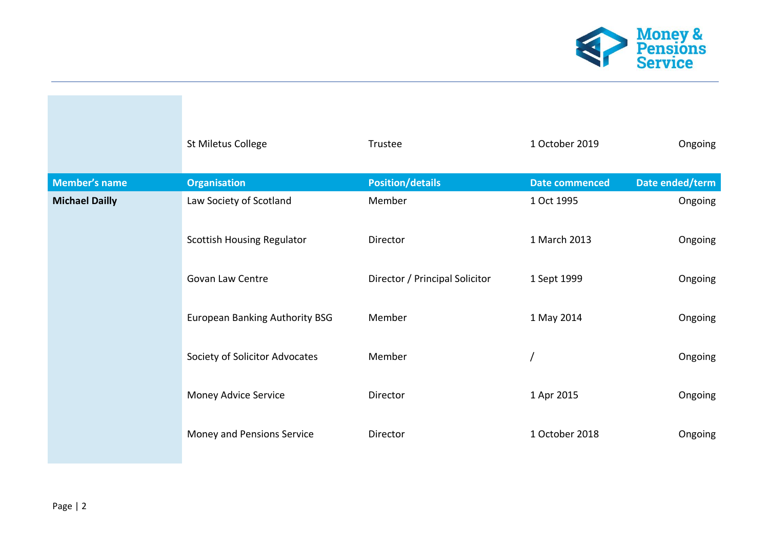

|                       | St Miletus College                | Trustee                        | 1 October 2019 | Ongoing         |
|-----------------------|-----------------------------------|--------------------------------|----------------|-----------------|
| <b>Member's name</b>  | <b>Organisation</b>               | <b>Position/details</b>        | Date commenced | Date ended/term |
| <b>Michael Dailly</b> | Law Society of Scotland           | Member                         | 1 Oct 1995     | Ongoing         |
|                       | <b>Scottish Housing Regulator</b> | Director                       | 1 March 2013   | Ongoing         |
|                       | Govan Law Centre                  | Director / Principal Solicitor | 1 Sept 1999    | Ongoing         |
|                       | European Banking Authority BSG    | Member                         | 1 May 2014     | Ongoing         |
|                       | Society of Solicitor Advocates    | Member                         |                | Ongoing         |
|                       | Money Advice Service              | Director                       | 1 Apr 2015     | Ongoing         |
|                       | Money and Pensions Service        | Director                       | 1 October 2018 | Ongoing         |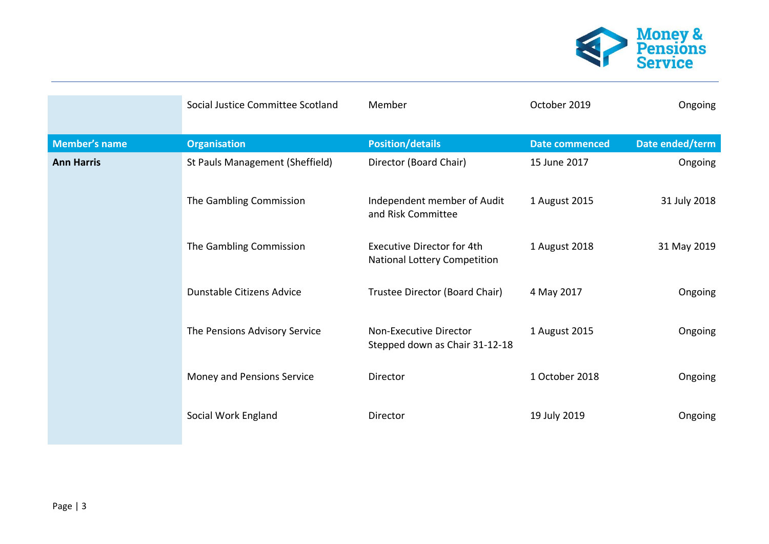

|                      | Social Justice Committee Scotland | Member                                                                   | October 2019          | Ongoing         |
|----------------------|-----------------------------------|--------------------------------------------------------------------------|-----------------------|-----------------|
| <b>Member's name</b> | <b>Organisation</b>               | <b>Position/details</b>                                                  | <b>Date commenced</b> | Date ended/term |
| <b>Ann Harris</b>    | St Pauls Management (Sheffield)   | Director (Board Chair)                                                   | 15 June 2017          | Ongoing         |
|                      | The Gambling Commission           | Independent member of Audit<br>and Risk Committee                        | 1 August 2015         | 31 July 2018    |
|                      | The Gambling Commission           | <b>Executive Director for 4th</b><br><b>National Lottery Competition</b> | 1 August 2018         | 31 May 2019     |
|                      | Dunstable Citizens Advice         | Trustee Director (Board Chair)                                           | 4 May 2017            | Ongoing         |
|                      | The Pensions Advisory Service     | Non-Executive Director<br>Stepped down as Chair 31-12-18                 | 1 August 2015         | Ongoing         |
|                      | Money and Pensions Service        | Director                                                                 | 1 October 2018        | Ongoing         |
|                      | Social Work England               | Director                                                                 | 19 July 2019          | Ongoing         |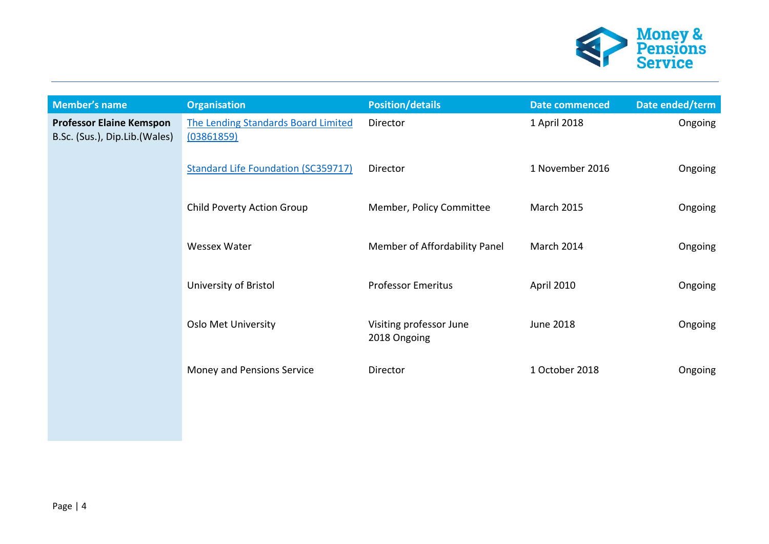

| <b>Member's name</b>                                             | <b>Organisation</b>                                      | <b>Position/details</b>                 | <b>Date commenced</b> | Date ended/term |
|------------------------------------------------------------------|----------------------------------------------------------|-----------------------------------------|-----------------------|-----------------|
| <b>Professor Elaine Kemspon</b><br>B.Sc. (Sus.), Dip.Lib.(Wales) | <b>The Lending Standards Board Limited</b><br>(03861859) | Director                                | 1 April 2018          | Ongoing         |
|                                                                  | <b>Standard Life Foundation (SC359717)</b>               | Director                                | 1 November 2016       | Ongoing         |
|                                                                  | Child Poverty Action Group                               | Member, Policy Committee                | <b>March 2015</b>     | Ongoing         |
|                                                                  | <b>Wessex Water</b>                                      | Member of Affordability Panel           | March 2014            | Ongoing         |
|                                                                  | University of Bristol                                    | <b>Professor Emeritus</b>               | April 2010            | Ongoing         |
|                                                                  | <b>Oslo Met University</b>                               | Visiting professor June<br>2018 Ongoing | June 2018             | Ongoing         |
|                                                                  | Money and Pensions Service                               | Director                                | 1 October 2018        | Ongoing         |
|                                                                  |                                                          |                                         |                       |                 |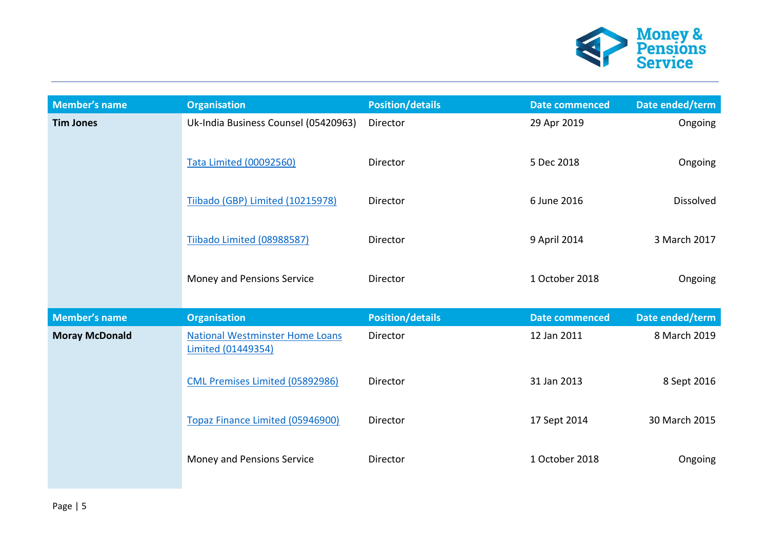

| <b>Member's name</b>  | <b>Organisation</b>                                                 | <b>Position/details</b> | <b>Date commenced</b> | Date ended/term  |
|-----------------------|---------------------------------------------------------------------|-------------------------|-----------------------|------------------|
| <b>Tim Jones</b>      | Uk-India Business Counsel (05420963)                                | Director                | 29 Apr 2019           | Ongoing          |
|                       | <b>Tata Limited (00092560)</b>                                      | Director                | 5 Dec 2018            | Ongoing          |
|                       | Tiibado (GBP) Limited (10215978)                                    | Director                | 6 June 2016           | <b>Dissolved</b> |
|                       | Tiibado Limited (08988587)                                          | Director                | 9 April 2014          | 3 March 2017     |
|                       | Money and Pensions Service                                          | Director                | 1 October 2018        | Ongoing          |
| <b>Member's name</b>  | <b>Organisation</b>                                                 | <b>Position/details</b> | <b>Date commenced</b> | Date ended/term  |
| <b>Moray McDonald</b> | <b>National Westminster Home Loans</b><br><b>Limited (01449354)</b> | Director                | 12 Jan 2011           | 8 March 2019     |
|                       | CML Premises Limited (05892986)                                     | Director                | 31 Jan 2013           | 8 Sept 2016      |
|                       | Topaz Finance Limited (05946900)                                    | Director                | 17 Sept 2014          | 30 March 2015    |
|                       | Money and Pensions Service                                          | Director                | 1 October 2018        | Ongoing          |